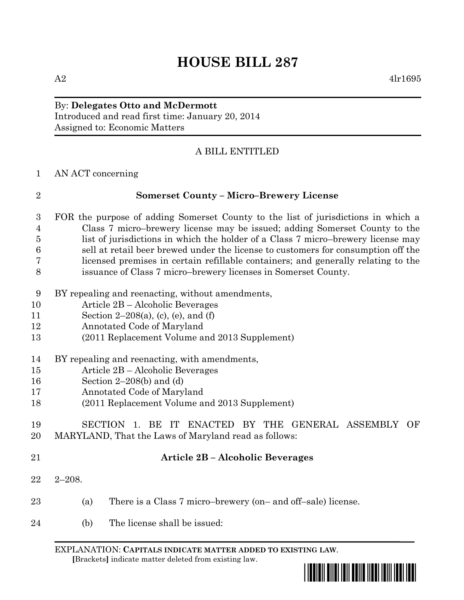# By: **Delegates Otto and McDermott**

Introduced and read first time: January 20, 2014 Assigned to: Economic Matters

# A BILL ENTITLED

AN ACT concerning

| $\overline{2}$ | <b>Somerset County - Micro-Brewery License</b>                                                                                                      |  |  |  |  |  |  |  |  |
|----------------|-----------------------------------------------------------------------------------------------------------------------------------------------------|--|--|--|--|--|--|--|--|
| 3              | FOR the purpose of adding Somerset County to the list of jurisdictions in which a                                                                   |  |  |  |  |  |  |  |  |
| $\overline{4}$ | Class 7 micro-brewery license may be issued; adding Somerset County to the                                                                          |  |  |  |  |  |  |  |  |
| $\overline{5}$ | list of jurisdictions in which the holder of a Class 7 micro-brewery license may                                                                    |  |  |  |  |  |  |  |  |
| 6              | sell at retail beer brewed under the license to customers for consumption off the                                                                   |  |  |  |  |  |  |  |  |
| 7<br>8         | licensed premises in certain refillable containers; and generally relating to the<br>issuance of Class 7 micro-brewery licenses in Somerset County. |  |  |  |  |  |  |  |  |
| 9              | BY repealing and reenacting, without amendments,                                                                                                    |  |  |  |  |  |  |  |  |
| 10             | Article 2B – Alcoholic Beverages                                                                                                                    |  |  |  |  |  |  |  |  |
| 11             | Section $2-208(a)$ , (c), (e), and (f)                                                                                                              |  |  |  |  |  |  |  |  |
| 12             | Annotated Code of Maryland                                                                                                                          |  |  |  |  |  |  |  |  |
| 13             | (2011 Replacement Volume and 2013 Supplement)                                                                                                       |  |  |  |  |  |  |  |  |
| 14             | BY repealing and reenacting, with amendments,                                                                                                       |  |  |  |  |  |  |  |  |
| 15             | Article 2B – Alcoholic Beverages                                                                                                                    |  |  |  |  |  |  |  |  |
| 16             | Section $2-208(b)$ and (d)                                                                                                                          |  |  |  |  |  |  |  |  |
| 17             | Annotated Code of Maryland                                                                                                                          |  |  |  |  |  |  |  |  |
| 18             | (2011 Replacement Volume and 2013 Supplement)                                                                                                       |  |  |  |  |  |  |  |  |
| 19             | SECTION 1. BE IT ENACTED BY THE GENERAL ASSEMBLY<br>OF                                                                                              |  |  |  |  |  |  |  |  |
| 20             | MARYLAND, That the Laws of Maryland read as follows:                                                                                                |  |  |  |  |  |  |  |  |
| 21             | Article 2B - Alcoholic Beverages                                                                                                                    |  |  |  |  |  |  |  |  |
| 22             | $2 - 208.$                                                                                                                                          |  |  |  |  |  |  |  |  |
| 23             | There is a Class 7 micro-brewery (on- and off-sale) license.<br>(a)                                                                                 |  |  |  |  |  |  |  |  |
| 24             | The license shall be issued:<br>(b)                                                                                                                 |  |  |  |  |  |  |  |  |
|                |                                                                                                                                                     |  |  |  |  |  |  |  |  |

EXPLANATION: **CAPITALS INDICATE MATTER ADDED TO EXISTING LAW**.  **[**Brackets**]** indicate matter deleted from existing law.

 $A2 \qquad \qquad 4l_1l_695$ 

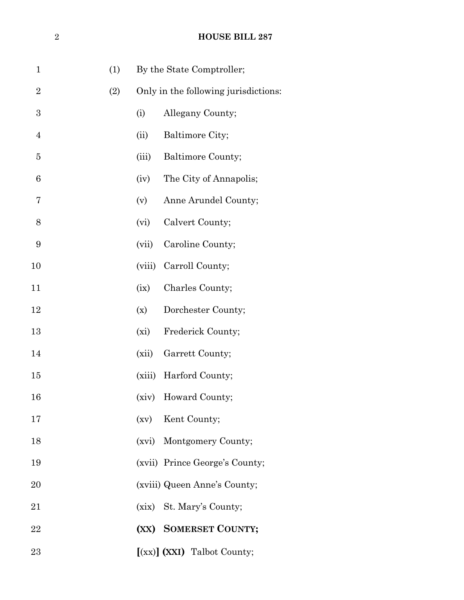| $\mathbf 1$    | (1) |        | By the State Comptroller;            |
|----------------|-----|--------|--------------------------------------|
| $\overline{2}$ | (2) |        | Only in the following jurisdictions: |
| 3              |     | (i)    | Allegany County;                     |
| $\overline{4}$ |     | (ii)   | Baltimore City;                      |
| 5              |     | (iii)  | Baltimore County;                    |
| 6              |     | (iv)   | The City of Annapolis;               |
| 7              |     | (v)    | Anne Arundel County;                 |
| 8              |     | (vi)   | Calvert County;                      |
| 9              |     | (vii)  | Caroline County;                     |
| 10             |     | (viii) | Carroll County;                      |
| 11             |     | (ix)   | Charles County;                      |
| 12             |     | (x)    | Dorchester County;                   |
| 13             |     | (xi)   | Frederick County;                    |
| 14             |     | (xii)  | Garrett County;                      |
| 15             |     |        | (xiii) Harford County;               |
| 16             |     |        | (xiv) Howard County;                 |
| 17             |     |        | (xv) Kent County;                    |
| 18             |     |        | (xvi) Montgomery County;             |
| 19             |     |        | (xvii) Prince George's County;       |
| 20             |     |        | (xviii) Queen Anne's County;         |
| 21             |     |        | (xix) St. Mary's County;             |
| 22             |     |        | (XX) SOMERSET COUNTY;                |
| 23             |     |        | [(xx)] (XXI) Talbot County;          |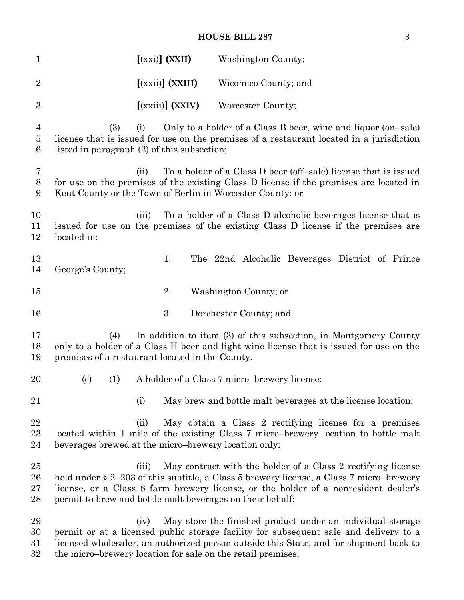### **HOUSE BILL 287** 3

| $\mathbf{1}$                                        |                                                             |       | $[(xxi)]$ $(XXII)$                           | Washington County;     |                                                                                                                                                                                                                                                   |
|-----------------------------------------------------|-------------------------------------------------------------|-------|----------------------------------------------|------------------------|---------------------------------------------------------------------------------------------------------------------------------------------------------------------------------------------------------------------------------------------------|
| $\overline{2}$                                      |                                                             |       | $[$ (xxii)] (XXIII)                          | Wicomico County; and   |                                                                                                                                                                                                                                                   |
| $\boldsymbol{3}$                                    |                                                             |       | $[$ (xxiii)] (XXIV)                          | Worcester County;      |                                                                                                                                                                                                                                                   |
| $\overline{4}$<br>$\overline{5}$<br>$6\phantom{.}6$ | (3)<br>listed in paragraph (2) of this subsection;          | (i)   |                                              |                        | Only to a holder of a Class B beer, wine and liquor (on-sale)<br>license that is issued for use on the premises of a restaurant located in a jurisdiction                                                                                         |
| 7<br>$8\,$<br>9                                     | Kent County or the Town of Berlin in Worcester County; or   | (ii)  |                                              |                        | To a holder of a Class D beer (off-sale) license that is issued<br>for use on the premises of the existing Class D license if the premises are located in                                                                                         |
| 10<br>11<br>12                                      | located in:                                                 | (iii) |                                              |                        | To a holder of a Class D alcoholic beverages license that is<br>issued for use on the premises of the existing Class D license if the premises are                                                                                                |
| 13<br>14                                            | George's County;                                            |       | 1.                                           |                        | The 22nd Alcoholic Beverages District of Prince                                                                                                                                                                                                   |
| 15                                                  |                                                             |       | 2.                                           | Washington County; or  |                                                                                                                                                                                                                                                   |
| 16                                                  |                                                             |       | 3.                                           | Dorchester County; and |                                                                                                                                                                                                                                                   |
| 17<br>18<br>19                                      | (4)<br>premises of a restaurant located in the County.      |       |                                              |                        | In addition to item (3) of this subsection, in Montgomery County<br>only to a holder of a Class H beer and light wine license that is issued for use on the                                                                                       |
| 20                                                  | (1)<br>$\left( \mathrm{c}\right)$                           |       | A holder of a Class 7 micro-brewery license: |                        |                                                                                                                                                                                                                                                   |
| 21                                                  |                                                             | (i)   |                                              |                        | May brew and bottle malt beverages at the license location;                                                                                                                                                                                       |
| 22<br>23<br>24                                      | beverages brewed at the micro-brewery location only;        | (ii)  |                                              |                        | May obtain a Class 2 rectifying license for a premises<br>located within 1 mile of the existing Class 7 micro-brewery location to bottle malt                                                                                                     |
| 25<br>26<br>27<br>28                                | permit to brew and bottle malt beverages on their behalf;   | (iii) |                                              |                        | May contract with the holder of a Class 2 rectifying license<br>held under $\S 2-203$ of this subtitle, a Class 5 brewery license, a Class 7 micro-brewery<br>license, or a Class 8 farm brewery license, or the holder of a nonresident dealer's |
| 29<br>30<br>31<br>32                                | the micro-brewery location for sale on the retail premises; | (iv)  |                                              |                        | May store the finished product under an individual storage<br>permit or at a licensed public storage facility for subsequent sale and delivery to a<br>licensed wholesaler, an authorized person outside this State, and for shipment back to     |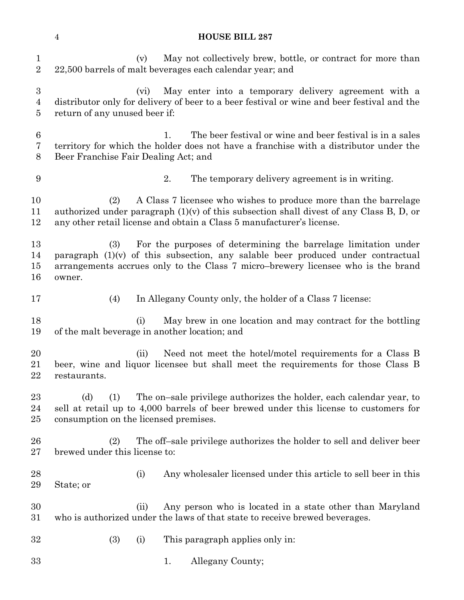(v) May not collectively brew, bottle, or contract for more than 22,500 barrels of malt beverages each calendar year; and (vi) May enter into a temporary delivery agreement with a distributor only for delivery of beer to a beer festival or wine and beer festival and the return of any unused beer if: 1. The beer festival or wine and beer festival is in a sales territory for which the holder does not have a franchise with a distributor under the Beer Franchise Fair Dealing Act; and 2. The temporary delivery agreement is in writing. (2) A Class 7 licensee who wishes to produce more than the barrelage authorized under paragraph (1)(v) of this subsection shall divest of any Class B, D, or any other retail license and obtain a Class 5 manufacturer's license. (3) For the purposes of determining the barrelage limitation under 14 paragraph  $(1)(v)$  of this subsection, any salable beer produced under contractual arrangements accrues only to the Class 7 micro–brewery licensee who is the brand owner. (4) In Allegany County only, the holder of a Class 7 license: (i) May brew in one location and may contract for the bottling of the malt beverage in another location; and (ii) Need not meet the hotel/motel requirements for a Class B beer, wine and liquor licensee but shall meet the requirements for those Class B restaurants. (d) (1) The on–sale privilege authorizes the holder, each calendar year, to sell at retail up to 4,000 barrels of beer brewed under this license to customers for consumption on the licensed premises. (2) The off–sale privilege authorizes the holder to sell and deliver beer brewed under this license to: 28 (i) Any wholes a lead under this article to sell beer in this State; or (ii) Any person who is located in a state other than Maryland who is authorized under the laws of that state to receive brewed beverages. (3) (i) This paragraph applies only in: 33 1. Allegany County;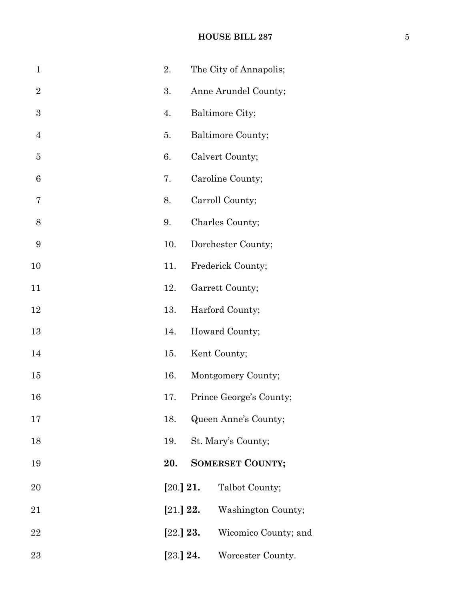# **HOUSE BILL 287** 5

| $\mathbf{1}$     | 2.          |           | The City of Annapolis;  |
|------------------|-------------|-----------|-------------------------|
| $\overline{2}$   | 3.          |           | Anne Arundel County;    |
| $\boldsymbol{3}$ | 4.          |           | Baltimore City;         |
| $\overline{4}$   | 5.          |           | Baltimore County;       |
| $\overline{5}$   | 6.          |           | Calvert County;         |
| 6                | 7.          |           | Caroline County;        |
| 7                | 8.          |           | Carroll County;         |
| 8                | 9.          |           | Charles County;         |
| 9                | 10.         |           | Dorchester County;      |
| 10               | 11.         |           | Frederick County;       |
| 11               | 12.         |           | Garrett County;         |
| 12               | 13.         |           | Harford County;         |
| 13               | 14.         |           | Howard County;          |
| 14               | 15.         |           | Kent County;            |
| 15               | 16.         |           | Montgomery County;      |
| 16               | 17.         |           | Prince George's County; |
| 17               | 18.         |           | Queen Anne's County;    |
| 18               | 19.         |           | St. Mary's County;      |
| 19               | 20.         |           | <b>SOMERSET COUNTY;</b> |
| 20               |             | [20.] 21. | Talbot County;          |
| 21               | $[21.]$ 22. |           | Washington County;      |
| 22               | [22.] 23.   |           | Wicomico County; and    |
| 23               | [23.] 24.   |           | Worcester County.       |